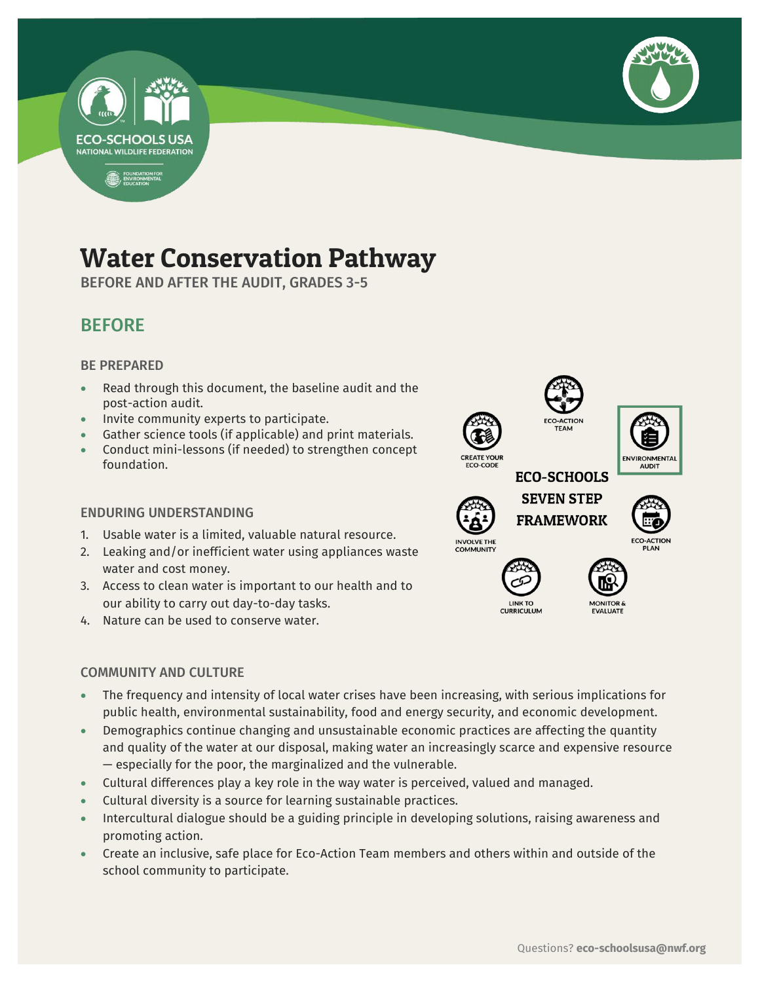



# Water Conservation Pathway

BEFORE AND AFTER THE AUDIT, GRADES 3-5

## BEFORE

### BE PREPARED

- Read through this document, the baseline audit and the post-action audit.
- Invite community experts to participate.
- Gather science tools (if applicable) and print materials.
- Conduct mini-lessons (if needed) to strengthen concept foundation.

### ENDURING UNDERSTANDING

- 1. Usable water is a limited, valuable natural resource.
- 2. Leaking and/or inefficient water using appliances waste water and cost money.
- 3. Access to clean water is important to our health and to our ability to carry out day-to-day tasks.
- 4. Nature can be used to conserve water.

### COMMUNITY AND CULTURE

**AUDIT ECO-SCHOOLS SEVEN STEP FRAMEWORK INVOLVE THE LINK TO** 

**CURRICULUM** 



- The frequency and intensity of local water crises have been increasing, with serious implications for public health, environmental sustainability, food and energy security, and economic development.
- Demographics continue changing and unsustainable economic practices are affecting the quantity and quality of the water at our disposal, making water an increasingly scarce and expensive resource — especially for the poor, the marginalized and the vulnerable.
- Cultural differences play a key role in the way water is perceived, valued and managed.
- Cultural diversity is a source for learning sustainable practices.
- Intercultural dialogue should be a guiding principle in developing solutions, raising awareness and promoting action.
- Create an inclusive, safe place for Eco-Action Team members and others within and outside of the school community to participate.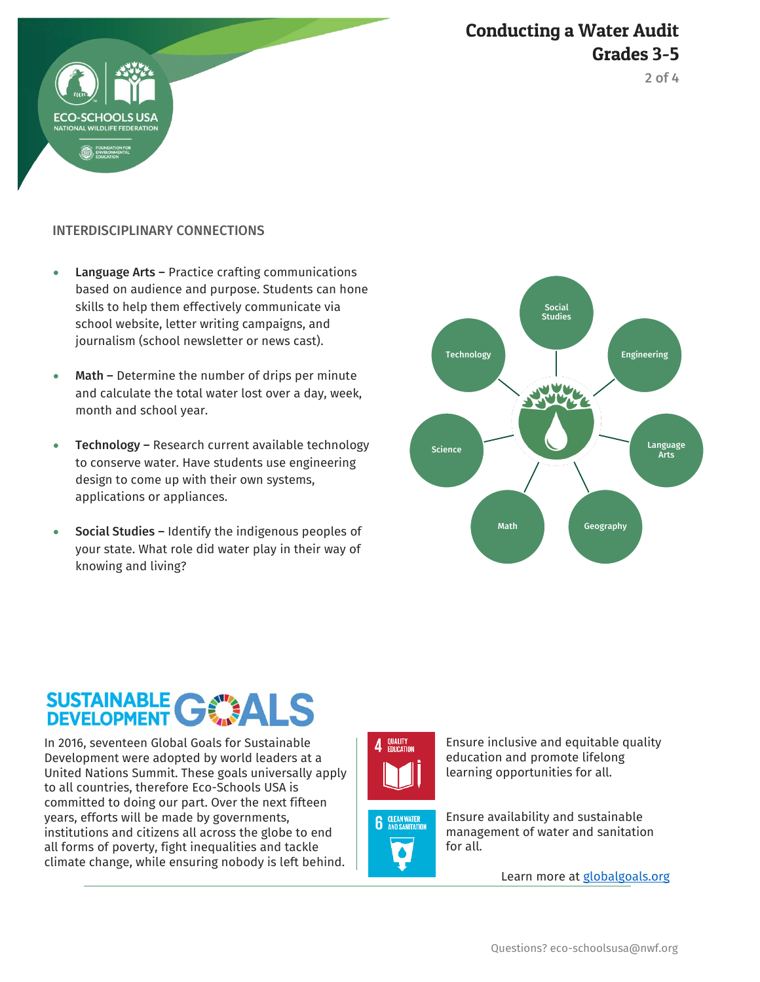## Conducting a Water Audit Grades 3-5



### INTERDISCIPLINARY CONNECTIONS

HOOLS US

- Language Arts Practice crafting communications based on audience and purpose. Students can hone skills to help them effectively communicate via school website, letter writing campaigns, and journalism (school newsletter or news cast).
- Math Determine the number of drips per minute and calculate the total water lost over a day, week, month and school year.
- Technology Research current available technology to conserve water. Have students use engineering design to come up with their own systems, applications or appliances.
- Social Studies Identify the indigenous peoples of your state. What role did water play in their way of knowing and living?



# SUSTAINABLE GWALS

In 2016, seventeen Global Goals for Sustainable Development were adopted by world leaders at a United Nations Summit. These goals universally apply to all countries, therefore Eco-Schools USA is committed to doing our part. Over the next fifteen years, efforts will be made by governments, institutions and citizens all across the globe to end all forms of poverty, fight inequalities and tackle climate change, while ensuring nobody is left behind.







Ensure inclusive and equitable quality education and promote lifelong learning opportunities for all.

Ensure availability and sustainable management of water and sanitation for all.

Learn more at [globalgoals.org](https://www.globalgoals.org/)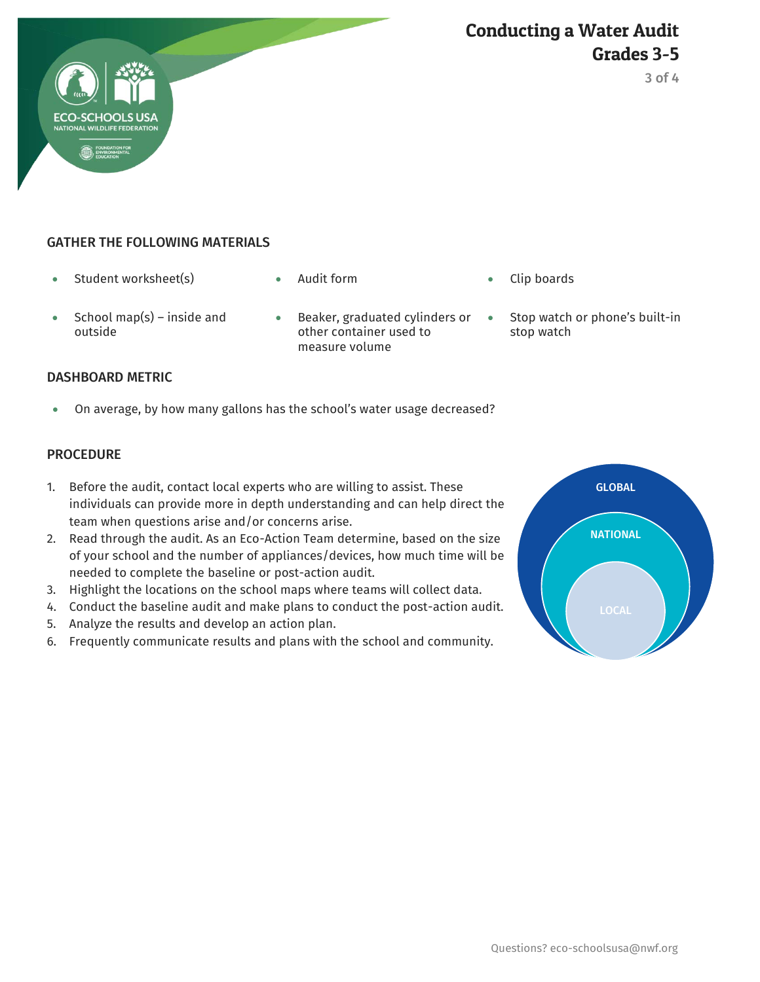



### GATHER THE FOLLOWING MATERIALS

- Student worksheet(s) Audit form Clip boards
- 
- School map(s) inside and outside
- Beaker, graduated cylinders or other container used to measure volume
- 
- Stop watch or phone's built-in stop watch

### DASHBOARD METRIC

On average, by how many gallons has the school's water usage decreased?

### PROCEDURE

- 1. Before the audit, contact local experts who are willing to assist. These individuals can provide more in depth understanding and can help direct the team when questions arise and/or concerns arise.
- 2. Read through the audit. As an Eco-Action Team determine, based on the size of your school and the number of appliances/devices, how much time will be needed to complete the baseline or post-action audit.
- 3. Highlight the locations on the school maps where teams will collect data.
- 4. Conduct the baseline audit and make plans to conduct the post-action audit.
- 5. Analyze the results and develop an action plan.
- 6. Frequently communicate results and plans with the school and community.